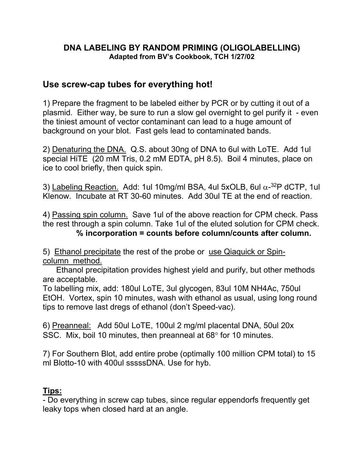## **DNA LABELING BY RANDOM PRIMING (OLIGOLABELLING) Adapted from BV's Cookbook, TCH 1/27/02**

## **Use screw-cap tubes for everything hot!**

1) Prepare the fragment to be labeled either by PCR or by cutting it out of a plasmid. Either way, be sure to run a slow gel overnight to gel purify it - even the tiniest amount of vector contaminant can lead to a huge amount of background on your blot. Fast gels lead to contaminated bands.

2) Denaturing the DNA. Q.S. about 30ng of DNA to 6ul with LoTE. Add 1ul special HiTE (20 mM Tris, 0.2 mM EDTA, pH 8.5). Boil 4 minutes, place on ice to cool briefly, then quick spin.

3) Labeling Reaction. Add: 1ul 10mg/ml BSA, 4ul 5xOLB, 6ul  $\alpha$ -3<sup>2</sup>P dCTP, 1ul Klenow. Incubate at RT 30-60 minutes. Add 30ul TE at the end of reaction.

4) Passing spin column. Save 1ul of the above reaction for CPM check. Pass the rest through a spin column. Take 1ul of the eluted solution for CPM check. **% incorporation = counts before column/counts after column.**

5) Ethanol precipitate the rest of the probe or use Qiaquick or Spincolumn method.

 Ethanol precipitation provides highest yield and purify, but other methods are acceptable.

To labelling mix, add: 180ul LoTE, 3ul glycogen, 83ul 10M NH4Ac, 750ul EtOH. Vortex, spin 10 minutes, wash with ethanol as usual, using long round tips to remove last dregs of ethanol (don't Speed-vac).

6) Preanneal: Add 50ul LoTE, 100ul 2 mg/ml placental DNA, 50ul 20x SSC. Mix, boil 10 minutes, then preanneal at 68° for 10 minutes.

7) For Southern Blot, add entire probe (optimally 100 million CPM total) to 15 ml Blotto-10 with 400ul sssssDNA. Use for hyb.

## **Tips:**

- Do everything in screw cap tubes, since regular eppendorfs frequently get leaky tops when closed hard at an angle.